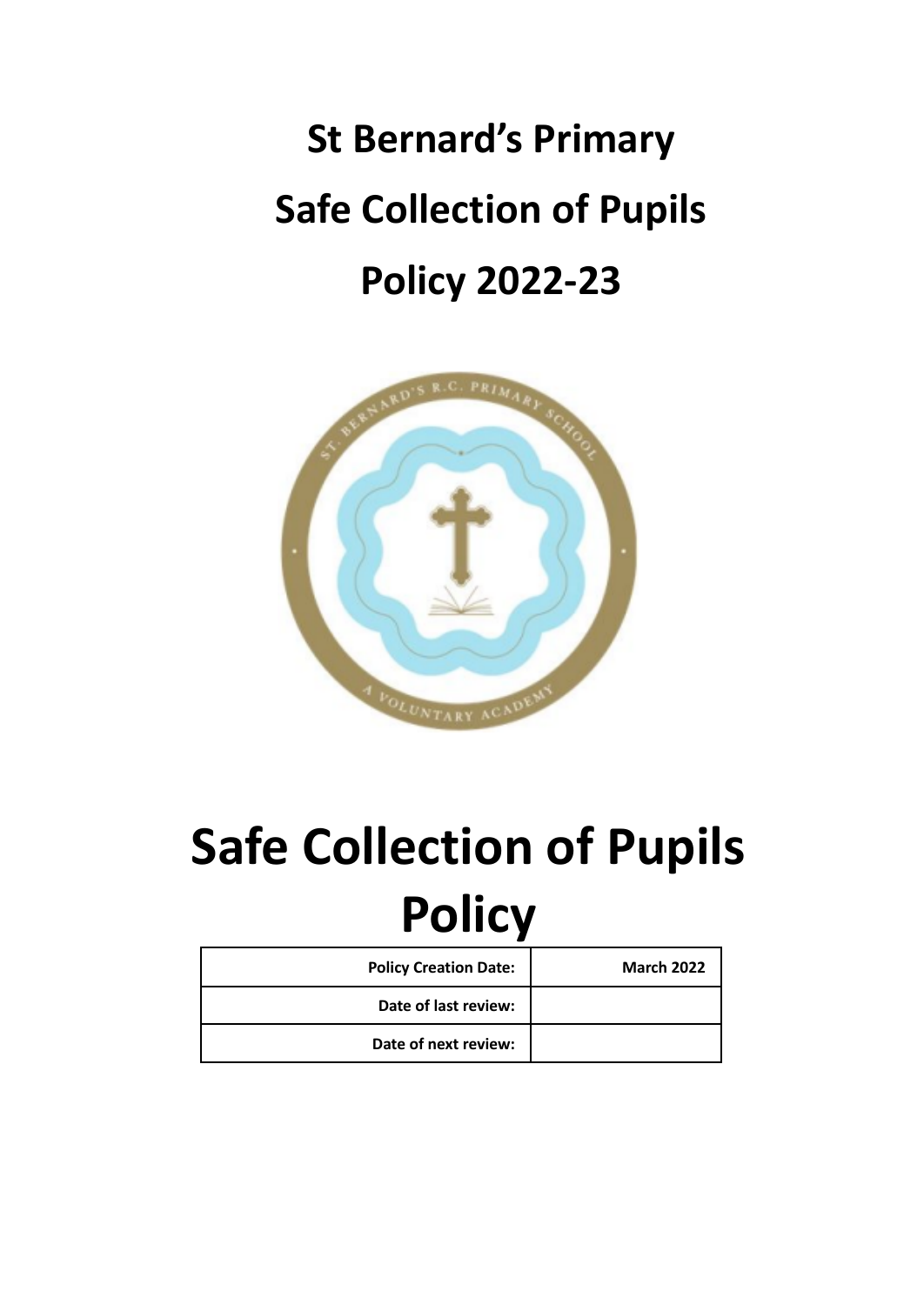# **St Bernard's Primary Safe Collection of Pupils Policy 2022-23**



# **Safe Collection of Pupils Policy**

| <b>Policy Creation Date:</b> | <b>March 2022</b> |
|------------------------------|-------------------|
| Date of last review:         |                   |
| Date of next review:         |                   |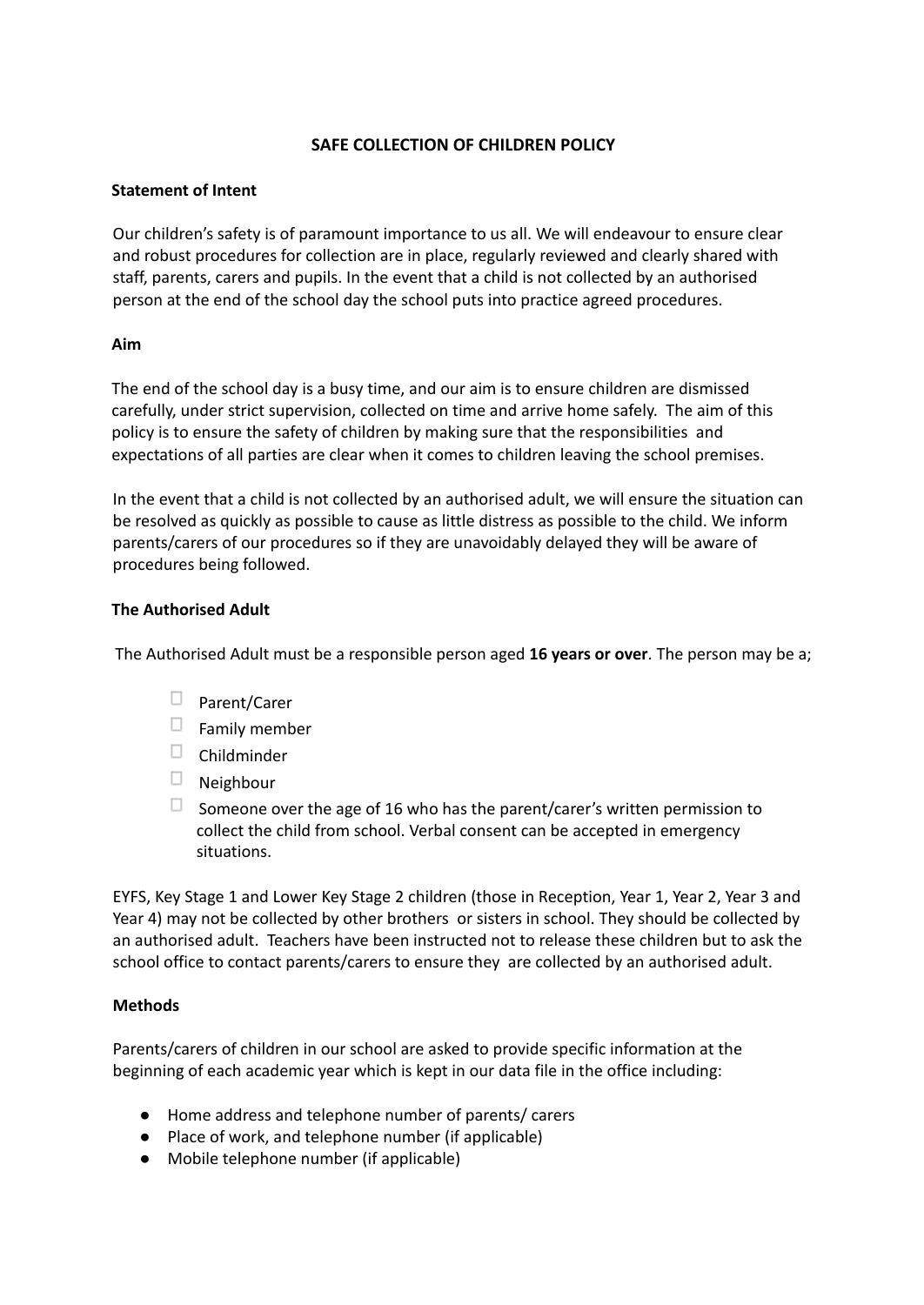# **SAFE COLLECTION OF CHILDREN POLICY**

# **Statement of Intent**

Our children's safety is of paramount importance to us all. We will endeavour to ensure clear and robust procedures for collection are in place, regularly reviewed and clearly shared with staff, parents, carers and pupils. In the event that a child is not collected by an authorised person at the end of the school day the school puts into practice agreed procedures.

#### **Aim**

The end of the school day is a busy time, and our aim is to ensure children are dismissed carefully, under strict supervision, collected on time and arrive home safely. The aim of this policy is to ensure the safety of children by making sure that the responsibilities and expectations of all parties are clear when it comes to children leaving the school premises.

In the event that a child is not collected by an authorised adult, we will ensure the situation can be resolved as quickly as possible to cause as little distress as possible to the child. We inform parents/carers of our procedures so if they are unavoidably delayed they will be aware of procedures being followed.

#### **The Authorised Adult**

The Authorised Adult must be a responsible person aged **16 years or over**. The person may be a;

- $\square$  Parent/Carer
- $\Box$  Family member
- $\Box$  Childminder
- $\Box$  Neighbour
- $\Box$  Someone over the age of 16 who has the parent/carer's written permission to collect the child from school. Verbal consent can be accepted in emergency situations.

EYFS, Key Stage 1 and Lower Key Stage 2 children (those in Reception, Year 1, Year 2, Year 3 and Year 4) may not be collected by other brothers or sisters in school. They should be collected by an authorised adult. Teachers have been instructed not to release these children but to ask the school office to contact parents/carers to ensure they are collected by an authorised adult.

# **Methods**

Parents/carers of children in our school are asked to provide specific information at the beginning of each academic year which is kept in our data file in the office including:

- Home address and telephone number of parents/ carers
- Place of work, and telephone number (if applicable)
- Mobile telephone number (if applicable)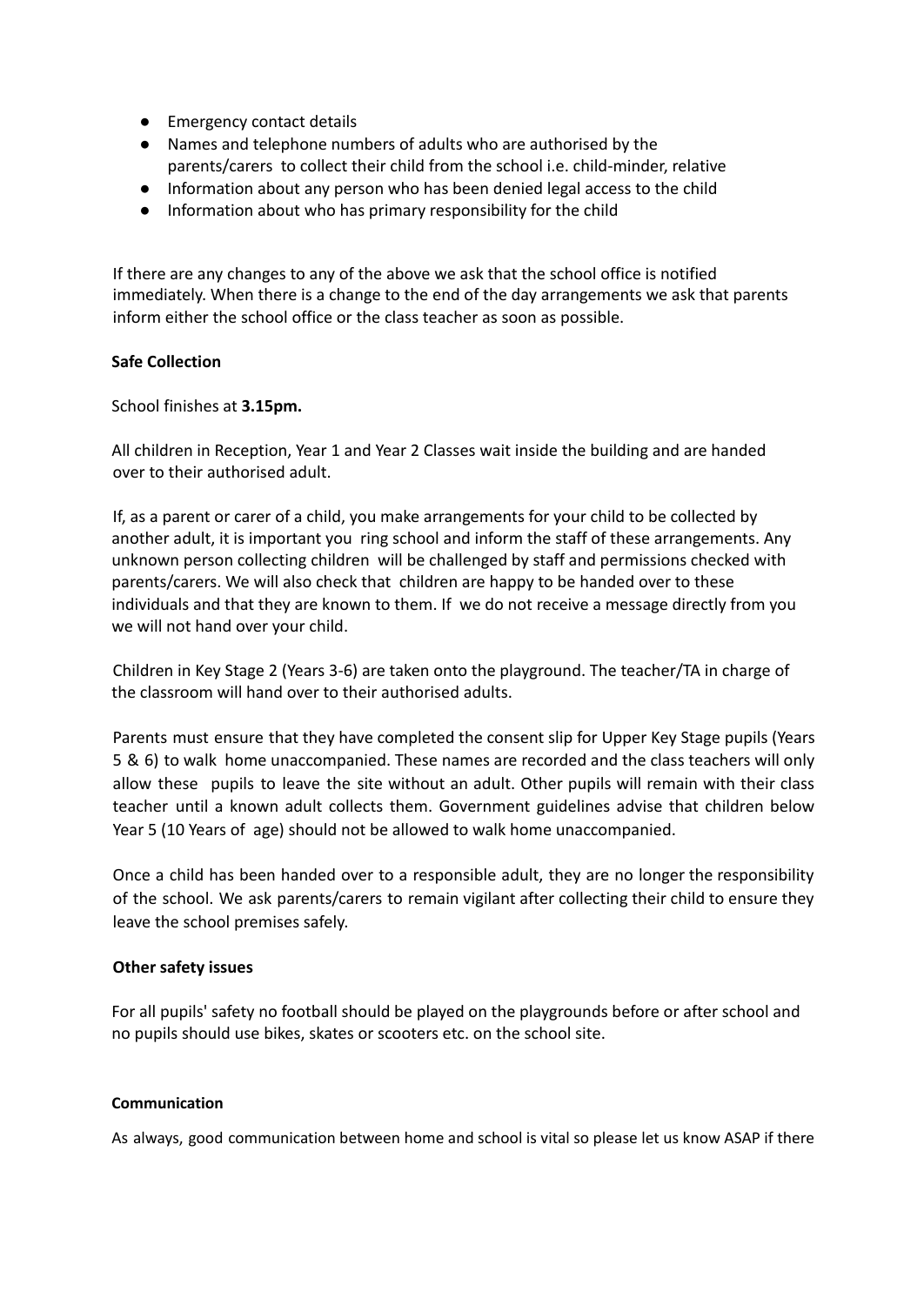- Emergency contact details
- Names and telephone numbers of adults who are authorised by the parents/carers to collect their child from the school i.e. child-minder, relative
- Information about any person who has been denied legal access to the child
- Information about who has primary responsibility for the child

If there are any changes to any of the above we ask that the school office is notified immediately. When there is a change to the end of the day arrangements we ask that parents inform either the school office or the class teacher as soon as possible.

#### **Safe Collection**

School finishes at **3.15pm.**

All children in Reception, Year 1 and Year 2 Classes wait inside the building and are handed over to their authorised adult.

If, as a parent or carer of a child, you make arrangements for your child to be collected by another adult, it is important you ring school and inform the staff of these arrangements. Any unknown person collecting children will be challenged by staff and permissions checked with parents/carers. We will also check that children are happy to be handed over to these individuals and that they are known to them. If we do not receive a message directly from you we will not hand over your child.

Children in Key Stage 2 (Years 3-6) are taken onto the playground. The teacher/TA in charge of the classroom will hand over to their authorised adults.

Parents must ensure that they have completed the consent slip for Upper Key Stage pupils (Years 5 & 6) to walk home unaccompanied. These names are recorded and the class teachers will only allow these pupils to leave the site without an adult. Other pupils will remain with their class teacher until a known adult collects them. Government guidelines advise that children below Year 5 (10 Years of age) should not be allowed to walk home unaccompanied.

Once a child has been handed over to a responsible adult, they are no longer the responsibility of the school. We ask parents/carers to remain vigilant after collecting their child to ensure they leave the school premises safely.

#### **Other safety issues**

For all pupils' safety no football should be played on the playgrounds before or after school and no pupils should use bikes, skates or scooters etc. on the school site.

#### **Communication**

As always, good communication between home and school is vital so please let us know ASAP if there